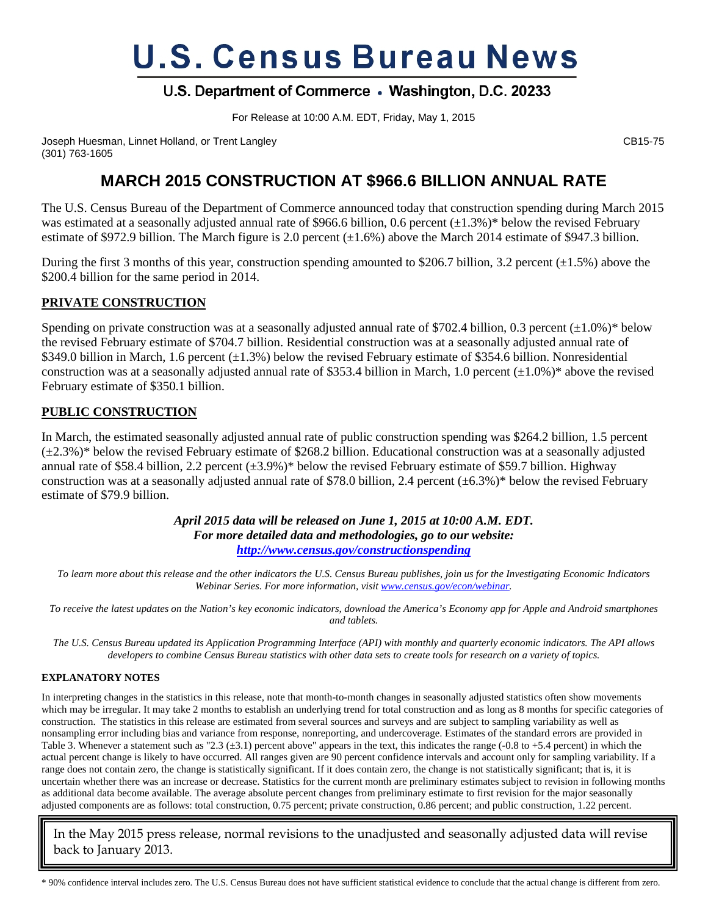# **U.S. Census Bureau News**

# U.S. Department of Commerce . Washington, D.C. 20233

For Release at 10:00 A.M. EDT, Friday, May 1, 2015

Joseph Huesman, Linnet Holland, or Trent Langley CB15-75 (301) 763-1605

# **MARCH 2015 CONSTRUCTION AT \$966.6 BILLION ANNUAL RATE**

The U.S. Census Bureau of the Department of Commerce announced today that construction spending during March 2015 was estimated at a seasonally adjusted annual rate of \$966.6 billion, 0.6 percent  $(\pm 1.3\%)^*$  below the revised February estimate of \$972.9 billion. The March figure is 2.0 percent  $(\pm 1.6\%)$  above the March 2014 estimate of \$947.3 billion.

During the first 3 months of this year, construction spending amounted to \$206.7 billion, 3.2 percent  $(\pm 1.5\%)$  above the \$200.4 billion for the same period in 2014.

## **PRIVATE CONSTRUCTION**

Spending on private construction was at a seasonally adjusted annual rate of \$702.4 billion, 0.3 percent  $(\pm 1.0\%)^*$  below the revised February estimate of \$704.7 billion. Residential construction was at a seasonally adjusted annual rate of \$349.0 billion in March, 1.6 percent (±1.3%) below the revised February estimate of \$354.6 billion. Nonresidential construction was at a seasonally adjusted annual rate of \$353.4 billion in March, 1.0 percent  $(\pm 1.0\%)^*$  above the revised February estimate of \$350.1 billion.

### **PUBLIC CONSTRUCTION**

In March, the estimated seasonally adjusted annual rate of public construction spending was \$264.2 billion, 1.5 percent  $(\pm 2.3\%)^*$  below the revised February estimate of \$268.2 billion. Educational construction was at a seasonally adjusted annual rate of \$58.4 billion, 2.2 percent  $(\pm 3.9\%)^*$  below the revised February estimate of \$59.7 billion. Highway construction was at a seasonally adjusted annual rate of \$78.0 billion, 2.4 percent  $(\pm 6.3\%)^*$  below the revised February estimate of \$79.9 billion.

> *April 2015 data will be released on June 1, 2015 at 10:00 A.M. EDT. For more detailed data and methodologies, go to our website: <http://www.census.gov/constructionspending>*

*To learn more about this release and the other indicators the U.S. Census Bureau publishes, join us for the Investigating Economic Indicators Webinar Series. For more information, visi[t www.census.gov/econ/webinar.](http://www.census.gov/econ/webinar)*

*To receive the latest updates on the Nation's key economic indicators, download the America's Economy app for Apple and Android smartphones and tablets.*

*The U.S. Census Bureau updated its Application Programming Interface (API) with monthly and quarterly economic indicators. The API allows developers to combine Census Bureau statistics with other data sets to create tools for research on a variety of topics.*

#### **EXPLANATORY NOTES**

In interpreting changes in the statistics in this release, note that month-to-month changes in seasonally adjusted statistics often show movements which may be irregular. It may take 2 months to establish an underlying trend for total construction and as long as 8 months for specific categories of construction. The statistics in this release are estimated from several sources and surveys and are subject to sampling variability as well as nonsampling error including bias and variance from response, nonreporting, and undercoverage. Estimates of the standard errors are provided in Table 3. Whenever a statement such as "2.3 ( $\pm$ 3.1) percent above" appears in the text, this indicates the range (-0.8 to +5.4 percent) in which the actual percent change is likely to have occurred. All ranges given are 90 percent confidence intervals and account only for sampling variability. If a range does not contain zero, the change is statistically significant. If it does contain zero, the change is not statistically significant; that is, it is uncertain whether there was an increase or decrease. Statistics for the current month are preliminary estimates subject to revision in following months as additional data become available. The average absolute percent changes from preliminary estimate to first revision for the major seasonally adjusted components are as follows: total construction, 0.75 percent; private construction, 0.86 percent; and public construction, 1.22 percent.

In the May 2015 press release, normal revisions to the unadjusted and seasonally adjusted data will revise back to January 2013.

<sup>\* 90%</sup> confidence interval includes zero. The U.S. Census Bureau does not have sufficient statistical evidence to conclude that the actual change is different from zero.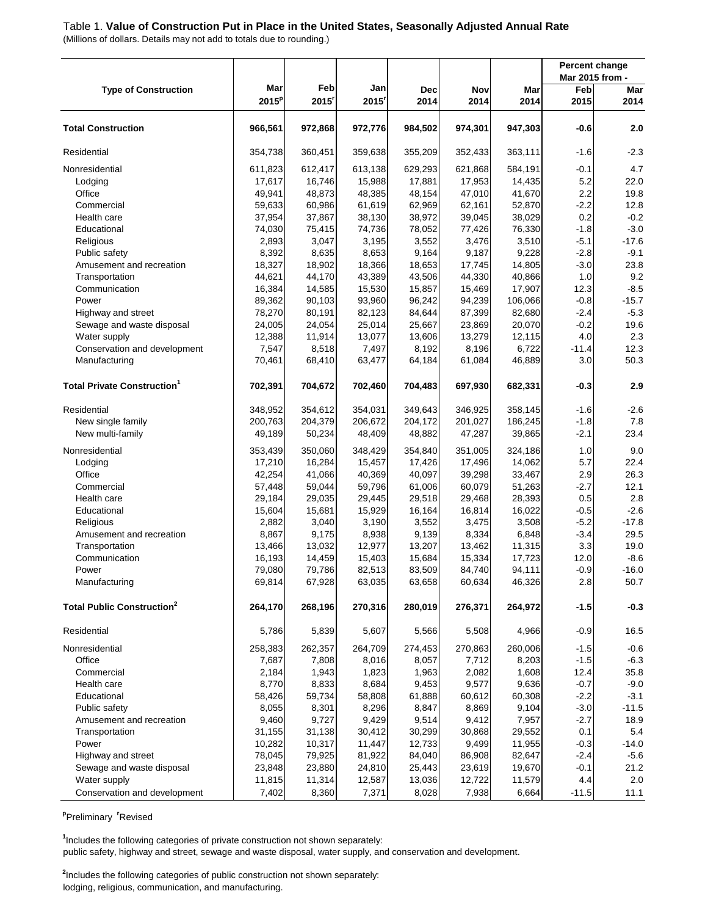## Table 1. **Value of Construction Put in Place in the United States, Seasonally Adjusted Annual Rate**

(Millions of dollars. Details may not add to totals due to rounding.)

|                                               |          |         |                     |         |         |         |                        | <b>Percent change</b> |
|-----------------------------------------------|----------|---------|---------------------|---------|---------|---------|------------------------|-----------------------|
| <b>Type of Construction</b>                   | Mar      | Feb     | Jan                 | Dec     | Nov     | Mar     | Mar 2015 from -<br>Feb | Mar                   |
|                                               | $2015^p$ | 2015    | $2015$ <sup>r</sup> | 2014    | 2014    | 2014    | 2015                   | 2014                  |
|                                               |          |         |                     |         |         |         |                        |                       |
| <b>Total Construction</b>                     | 966,561  | 972,868 | 972,776             | 984,502 | 974,301 | 947,303 | $-0.6$                 | 2.0                   |
| Residential                                   | 354,738  | 360,451 | 359,638             | 355,209 | 352,433 | 363,111 | $-1.6$                 | $-2.3$                |
| Nonresidential                                | 611,823  | 612,417 | 613,138             | 629,293 | 621,868 | 584,191 | $-0.1$                 | 4.7                   |
| Lodging                                       | 17,617   | 16,746  | 15,988              | 17,881  | 17,953  | 14,435  | 5.2                    | 22.0                  |
| Office                                        | 49,941   | 48,873  | 48,385              | 48,154  | 47,010  | 41,670  | 2.2                    | 19.8                  |
| Commercial                                    | 59,633   | 60,986  | 61,619              | 62,969  | 62,161  | 52,870  | $-2.2$                 | 12.8                  |
| Health care                                   | 37,954   | 37,867  | 38,130              | 38,972  | 39,045  | 38,029  | 0.2                    | $-0.2$                |
| Educational                                   | 74,030   | 75,415  | 74,736              | 78,052  | 77,426  | 76,330  | $-1.8$                 | $-3.0$                |
| Religious                                     | 2,893    | 3,047   | 3,195               | 3,552   | 3,476   | 3,510   | $-5.1$                 | $-17.6$               |
| Public safety                                 | 8,392    | 8,635   | 8,653               | 9,164   | 9,187   | 9,228   | $-2.8$                 | $-9.1$                |
| Amusement and recreation                      | 18,327   | 18,902  | 18,366              | 18,653  | 17,745  | 14,805  | $-3.0$                 | 23.8                  |
| Transportation                                | 44,621   | 44,170  | 43,389              | 43,506  | 44,330  | 40,866  | 1.0                    | 9.2                   |
| Communication                                 | 16,384   | 14,585  | 15,530              | 15,857  | 15,469  | 17,907  | 12.3                   | $-8.5$                |
| Power                                         | 89,362   | 90,103  | 93,960              | 96,242  | 94,239  | 106,066 | $-0.8$                 | $-15.7$               |
| Highway and street                            | 78,270   | 80,191  | 82,123              | 84,644  | 87,399  | 82,680  | $-2.4$                 | $-5.3$                |
| Sewage and waste disposal                     | 24,005   | 24,054  | 25,014              | 25,667  | 23,869  | 20,070  | $-0.2$                 | 19.6                  |
| Water supply                                  | 12,388   | 11,914  | 13,077              | 13,606  | 13,279  | 12,115  | 4.0                    | 2.3                   |
| Conservation and development                  | 7,547    | 8,518   | 7,497               | 8,192   | 8,196   | 6,722   | $-11.4$                | 12.3                  |
| Manufacturing                                 | 70,461   | 68,410  | 63,477              | 64,184  | 61,084  | 46,889  | 3.0                    | 50.3                  |
| <b>Total Private Construction<sup>1</sup></b> | 702,391  | 704,672 | 702,460             | 704,483 | 697,930 | 682,331 | $-0.3$                 | 2.9                   |
| Residential                                   | 348,952  | 354,612 | 354,031             | 349,643 | 346,925 | 358,145 | $-1.6$                 | $-2.6$                |
| New single family                             | 200,763  | 204,379 | 206,672             | 204,172 | 201,027 | 186,245 | $-1.8$                 | 7.8                   |
| New multi-family                              | 49,189   | 50,234  | 48,409              | 48,882  | 47,287  | 39,865  | $-2.1$                 | 23.4                  |
| Nonresidential                                | 353,439  | 350,060 | 348,429             | 354,840 | 351,005 | 324,186 | 1.0                    | 9.0                   |
| Lodging                                       | 17,210   | 16,284  | 15,457              | 17,426  | 17,496  | 14,062  | 5.7                    | 22.4                  |
| Office                                        | 42,254   | 41,066  | 40,369              | 40,097  | 39,298  | 33,467  | 2.9                    | 26.3                  |
| Commercial                                    | 57,448   | 59,044  | 59,796              | 61,006  | 60,079  | 51,263  | $-2.7$                 | 12.1                  |
| Health care                                   | 29,184   | 29,035  | 29,445              | 29,518  | 29,468  | 28,393  | 0.5                    | 2.8                   |
| Educational                                   | 15,604   | 15,681  | 15,929              | 16,164  | 16,814  | 16,022  | $-0.5$                 | $-2.6$                |
| Religious                                     | 2,882    | 3,040   | 3,190               | 3,552   | 3,475   | 3,508   | $-5.2$                 | $-17.8$               |
| Amusement and recreation                      | 8,867    | 9,175   | 8,938               | 9,139   | 8,334   | 6,848   | $-3.4$                 | 29.5                  |
| Transportation                                | 13,466   | 13,032  | 12,977              | 13,207  | 13,462  | 11,315  | 3.3                    | 19.0                  |
| Communication                                 | 16,193   | 14,459  | 15,403              | 15,684  | 15,334  | 17,723  | 12.0                   | $-8.6$                |
| Power                                         | 79,080   | 79,786  | 82,513              | 83,509  | 84,740  | 94,111  | $-0.9$                 | $-16.0$               |
| Manufacturing                                 | 69,814   | 67,928  | 63,035              | 63,658  | 60,634  | 46,326  | 2.8                    | 50.7                  |
| <b>Total Public Construction<sup>2</sup></b>  | 264,170  | 268,196 | 270,316             | 280,019 | 276,371 | 264,972 | $-1.5$                 | $-0.3$                |
| Residential                                   | 5,786    | 5,839   | 5,607               | 5,566   | 5,508   | 4,966   | $-0.9$                 | 16.5                  |
| Nonresidential                                | 258,383  | 262,357 | 264,709             | 274,453 | 270,863 | 260,006 | $-1.5$                 | $-0.6$                |
| Office                                        | 7,687    | 7,808   | 8,016               | 8,057   | 7,712   | 8,203   | $-1.5$                 | $-6.3$                |
| Commercial                                    | 2,184    | 1,943   | 1,823               | 1,963   | 2,082   | 1,608   | 12.4                   | 35.8                  |
| Health care                                   | 8,770    | 8,833   | 8,684               | 9,453   | 9,577   | 9,636   | $-0.7$                 | $-9.0$                |
| Educational                                   | 58,426   | 59,734  | 58,808              | 61,888  | 60,612  | 60,308  | $-2.2$                 | $-3.1$                |
| Public safety                                 | 8,055    | 8,301   | 8,296               | 8,847   | 8,869   | 9,104   | $-3.0$                 | $-11.5$               |
| Amusement and recreation                      | 9,460    | 9,727   | 9,429               | 9,514   | 9,412   | 7,957   | $-2.7$                 | 18.9                  |
| Transportation                                | 31,155   | 31,138  | 30,412              | 30,299  | 30,868  | 29,552  | 0.1                    | 5.4                   |
| Power                                         | 10,282   | 10,317  | 11,447              | 12,733  | 9,499   | 11,955  | $-0.3$                 | $-14.0$               |
| Highway and street                            | 78,045   | 79,925  | 81,922              | 84,040  | 86,908  | 82,647  | $-2.4$                 | $-5.6$                |
| Sewage and waste disposal                     | 23,848   | 23,880  | 24,810              | 25,443  | 23,619  | 19,670  | $-0.1$                 | 21.2                  |
| Water supply                                  | 11,815   | 11,314  | 12,587              | 13,036  | 12,722  | 11,579  | 4.4                    | 2.0                   |
| Conservation and development                  | 7,402    | 8,360   | 7,371               | 8,028   | 7,938   | 6,664   | $-11.5$                | 11.1                  |

**p** Preliminary **<sup>r</sup>** Revised

public safety, highway and street, sewage and waste disposal, water supply, and conservation and development. **1** Includes the following categories of private construction not shown separately:

**2** Includes the following categories of public construction not shown separately: lodging, religious, communication, and manufacturing.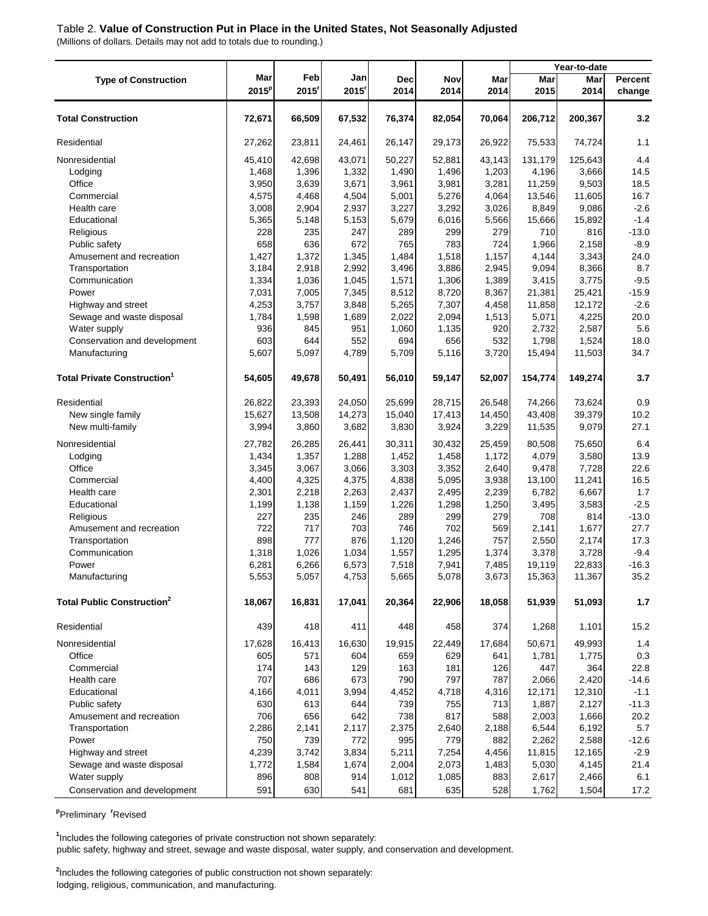#### Table 2. **Value of Construction Put in Place in the United States, Not Seasonally Adjusted**

(Millions of dollars. Details may not add to totals due to rounding.)

|                                               |                 |              |             |                    |             |             | Year-to-date |             |                   |
|-----------------------------------------------|-----------------|--------------|-------------|--------------------|-------------|-------------|--------------|-------------|-------------------|
| <b>Type of Construction</b>                   | Mar<br>$2015^p$ | Feb<br>2015' | Jan<br>2015 | <b>Dec</b><br>2014 | Nov<br>2014 | Mar<br>2014 | Mar<br>2015  | Mar<br>2014 | Percent<br>change |
| <b>Total Construction</b>                     | 72,671          | 66,509       | 67,532      | 76,374             | 82,054      | 70,064      | 206,712      | 200,367     | 3.2               |
| Residential                                   | 27,262          | 23,811       | 24,461      | 26,147             | 29,173      | 26,922      | 75,533       | 74,724      | 1.1               |
| Nonresidential                                | 45,410          | 42,698       | 43,071      | 50,227             | 52,881      | 43,143      | 131,179      | 125,643     | 4.4               |
| Lodging                                       | 1,468           | 1,396        | 1,332       | 1,490              | 1,496       | 1,203       | 4,196        | 3,666       | 14.5              |
| Office                                        | 3,950           | 3,639        | 3,671       | 3,961              | 3,981       | 3,281       | 11,259       | 9,503       | 18.5              |
| Commercial                                    | 4,575           | 4,468        | 4,504       | 5,001              | 5,276       | 4,064       | 13,546       | 11,605      | 16.7              |
| Health care                                   | 3,008           | 2,904        | 2,937       | 3,227              | 3,292       | 3,026       | 8,849        | 9,086       | $-2.6$            |
| Educational                                   | 5,365           | 5,148        | 5,153       | 5,679              | 6,016       | 5,566       | 15,666       | 15,892      | $-1.4$            |
| Religious                                     | 228             | 235          | 247         | 289                | 299         | 279         | 710          | 816         | $-13.0$           |
| Public safety                                 | 658             | 636          | 672         | 765                | 783         | 724         | 1,966        | 2,158       | $-8.9$            |
| Amusement and recreation                      | 1,427           | 1,372        | 1,345       | 1,484              | 1,518       | 1,157       | 4,144        | 3,343       | 24.0              |
| Transportation                                | 3,184           | 2,918        | 2,992       | 3,496              | 3,886       | 2,945       | 9,094        | 8,366       | 8.7               |
| Communication                                 | 1,334           | 1,036        | 1,045       | 1,571              | 1,306       | 1,389       | 3,415        | 3,775       | $-9.5$            |
| Power                                         | 7,031           | 7,005        | 7,345       | 8,512              | 8,720       | 8,367       | 21,381       | 25,421      | $-15.9$           |
| Highway and street                            | 4,253           | 3,757        | 3,848       | 5,265              | 7,307       | 4,458       | 11,858       | 12,172      | $-2.6$            |
| Sewage and waste disposal                     | 1,784           | 1,598        | 1,689       | 2,022              | 2,094       | 1,513       | 5,071        | 4,225       | 20.0              |
| Water supply                                  | 936             | 845          | 951         | 1,060              | 1,135       | 920         | 2,732        | 2,587       | 5.6               |
| Conservation and development                  | 603             | 644          | 552         | 694                | 656         | 532         | 1,798        | 1,524       | 18.0              |
| Manufacturing                                 | 5,607           | 5,097        | 4,789       | 5,709              | 5,116       | 3,720       | 15,494       | 11,503      | 34.7              |
| <b>Total Private Construction<sup>1</sup></b> | 54,605          | 49,678       | 50,491      | 56,010             | 59,147      | 52,007      | 154,774      | 149,274     | 3.7               |
| Residential                                   | 26,822          | 23,393       | 24,050      | 25,699             | 28,715      | 26,548      | 74,266       | 73,624      | 0.9               |
| New single family                             | 15,627          | 13,508       | 14,273      | 15,040             | 17,413      | 14,450      | 43,408       | 39,379      | 10.2              |
| New multi-family                              | 3,994           | 3,860        | 3,682       | 3,830              | 3,924       | 3,229       | 11,535       | 9,079       | 27.1              |
| Nonresidential                                | 27,782          | 26,285       | 26,441      | 30,311             | 30,432      | 25,459      | 80,508       | 75,650      | 6.4               |
| Lodging                                       | 1,434           | 1,357        | 1,288       | 1,452              | 1,458       | 1,172       | 4,079        | 3,580       | 13.9              |
| Office                                        | 3,345           | 3,067        | 3,066       | 3,303              | 3,352       | 2,640       | 9,478        | 7,728       | 22.6              |
| Commercial                                    | 4,400           | 4,325        | 4,375       | 4,838              | 5,095       | 3,938       | 13,100       | 11,241      | 16.5              |
| Health care                                   | 2,301           | 2,218        | 2,263       | 2,437              | 2,495       | 2,239       | 6,782        | 6,667       | 1.7               |
| Educational                                   | 1,199           | 1,138        | 1,159       | 1,226              | 1,298       | 1,250       | 3,495        | 3,583       | $-2.5$            |
| Religious                                     | 227             | 235          | 246         | 289                | 299         | 279         | 708          | 814         | $-13.0$           |
| Amusement and recreation                      | 722             | 717          | 703         | 746                | 702         | 569         | 2,141        | 1,677       | 27.7              |
| Transportation                                | 898             | 777          | 876         | 1,120              | 1,246       | 757         | 2,550        | 2,174       | 17.3              |
| Communication                                 | 1,318           | 1,026        | 1,034       | 1,557              | 1,295       | 1,374       | 3,378        | 3,728       | $-9.4$            |
| Power                                         | 6,281           | 6,266        | 6,573       | 7,518              | 7,941       | 7,485       | 19,119       | 22,833      | $-16.3$           |
| Manufacturing                                 | 5,553           | 5,057        | 4,753       | 5,665              | 5,078       | 3,673       | 15,363       | 11,367      | 35.2              |
| <b>Total Public Construction<sup>2</sup></b>  | 18,067          | 16,831       | 17,041      | 20,364             | 22,906      | 18,058      | 51,939       | 51,093      | $1.7$             |
| Residential                                   | 439             | 418          | 411         | 448                | 458         | 374         | 1,268        | 1,101       | 15.2              |
| Nonresidential                                | 17,628          | 16,413       | 16,630      | 19,915             | 22,449      | 17,684      | 50,671       | 49,993      | 1.4               |
| Office                                        | 605             | 571          | 604         | 659                | 629         | 641         | 1,781        | 1,775       | 0.3               |
| Commercial                                    | 174             | 143          | 129         | 163                | 181         | 126         | 447          | 364         | 22.8              |
| Health care                                   | 707             | 686          | 673         | 790                | 797         | 787         | 2,066        | 2,420       | $-14.6$           |
| Educational                                   | 4,166           | 4,011        | 3,994       | 4,452              | 4,718       | 4,316       | 12,171       | 12,310      | $-1.1$            |
| Public safety                                 | 630             | 613          | 644         | 739                | 755         | 713         | 1,887        | 2,127       | $-11.3$           |
| Amusement and recreation                      | 706             | 656          | 642         | 738                | 817         | 588         | 2,003        | 1,666       | 20.2              |
| Transportation                                | 2,286           | 2,141        | 2,117       | 2,375              | 2,640       | 2,188       | 6,544        | 6,192       | 5.7               |
| Power                                         | 750             | 739          | 772         | 995                | 779         | 882         | 2,262        | 2,588       | $-12.6$           |
| Highway and street                            | 4,239           | 3,742        | 3,834       | 5,211              | 7,254       | 4,456       | 11,815       | 12,165      | $-2.9$            |
| Sewage and waste disposal                     | 1,772           | 1,584        | 1,674       | 2,004              | 2,073       | 1,483       | 5,030        | 4,145       | 21.4              |
| Water supply                                  | 896             | 808          | 914         | 1,012              | 1,085       | 883         | 2,617        | 2,466       | 6.1               |
| Conservation and development                  | 591             | 630          | 541         | 681                | 635         | 528         | 1,762        | 1,504       | 17.2              |

**p** Preliminary **<sup>r</sup>** Revised

public safety, highway and street, sewage and waste disposal, water supply, and conservation and development. **1** Includes the following categories of private construction not shown separately:

**2** Includes the following categories of public construction not shown separately: lodging, religious, communication, and manufacturing.